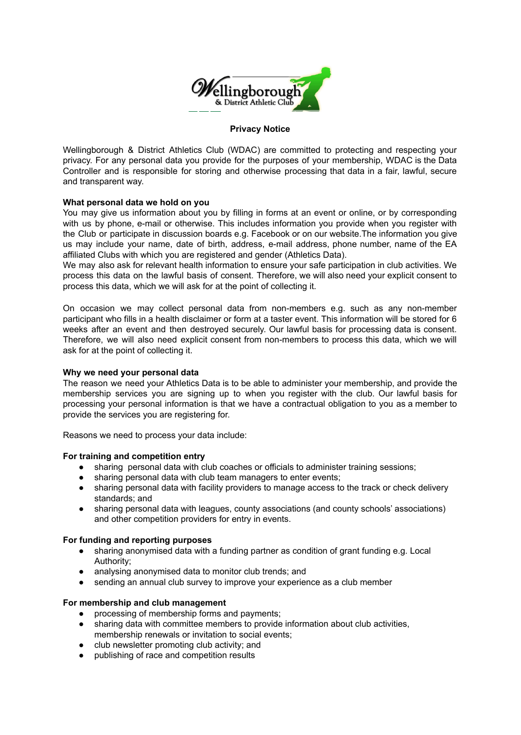

## **Privacy Notice**

Wellingborough & District Athletics Club (WDAC) are committed to protecting and respecting your privacy. For any personal data you provide for the purposes of your membership, WDAC is the Data Controller and is responsible for storing and otherwise processing that data in a fair, lawful, secure and transparent way.

# **What personal data we hold on you**

You may give us information about you by filling in forms at an event or online, or by corresponding with us by phone, e-mail or otherwise. This includes information you provide when you register with the Club or participate in discussion boards e.g. Facebook or on our website.The information you give us may include your name, date of birth, address, e-mail address, phone number, name of the EA affiliated Clubs with which you are registered and gender (Athletics Data).

We may also ask for relevant health information to ensure your safe participation in club activities. We process this data on the lawful basis of consent. Therefore, we will also need your explicit consent to process this data, which we will ask for at the point of collecting it.

On occasion we may collect personal data from non-members e.g. such as any non-member participant who fills in a health disclaimer or form at a taster event. This information will be stored for 6 weeks after an event and then destroyed securely. Our lawful basis for processing data is consent. Therefore, we will also need explicit consent from non-members to process this data, which we will ask for at the point of collecting it.

### **Why we need your personal data**

The reason we need your Athletics Data is to be able to administer your membership, and provide the membership services you are signing up to when you register with the club. Our lawful basis for processing your personal information is that we have a contractual obligation to you as a member to provide the services you are registering for.

Reasons we need to process your data include:

### **For training and competition entry**

- sharing personal data with club coaches or officials to administer training sessions;
- sharing personal data with club team managers to enter events;
- sharing personal data with facility providers to manage access to the track or check delivery standards; and
- sharing personal data with leagues, county associations (and county schools' associations) and other competition providers for entry in events.

### **For funding and reporting purposes**

- sharing anonymised data with a funding partner as condition of grant funding e.g. Local Authority;
- analysing anonymised data to monitor club trends; and
- sending an annual club survey to improve your experience as a club member

### **For membership and club management**

- processing of membership forms and payments;
- sharing data with committee members to provide information about club activities, membership renewals or invitation to social events;
- club newsletter promoting club activity; and
- publishing of race and competition results